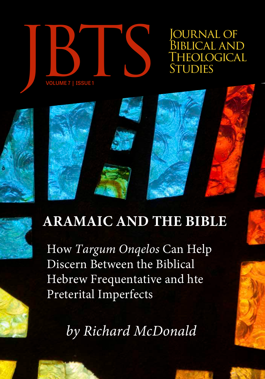

*OURNAL OF* BIBLICAL AND<br>THEOLOGICA<u>L</u>



How *Targum Onqelos* Can Help Discern Between the Biblical Hebrew Frequentative and hte Preterital Imperfects

*by Richard McDonald*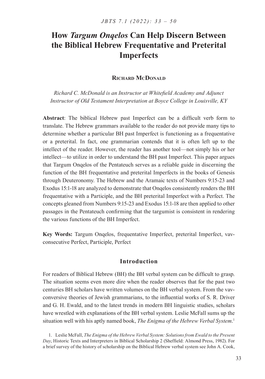# **How** *Targum Onqelos* **Can Help Discern Between the Biblical Hebrew Frequentative and Preterital Imperfects**

# **Richard McDonald**

*Richard C. McDonald is an Instructor at Whitefield Academy and Adjunct Instructor of Old Testament Interpretation at Boyce College in Louisville, KY*

**Abstract**: The biblical Hebrew past Imperfect can be a difficult verb form to translate. The Hebrew grammars available to the reader do not provide many tips to determine whether a particular BH past Imperfect is functioning as a frequentative or a preterital. In fact, one grammarian contends that it is often left up to the intellect of the reader. However, the reader has another tool—not simply his or her intellect—to utilize in order to understand the BH past Imperfect. This paper argues that Targum Onqelos of the Pentateuch serves as a reliable guide in discerning the function of the BH frequentative and preterital Imperfects in the books of Genesis through Deuteronomy. The Hebrew and the Aramaic texts of Numbers 9:15-23 and Exodus 15:1-18 are analyzed to demonstrate that Onqelos consistently renders the BH frequentative with a Participle, and the BH preterital Imperfect with a Perfect. The concepts gleaned from Numbers 9:15-23 and Exodus 15:1-18 are then applied to other passages in the Pentateuch confirming that the targumist is consistent in rendering the various functions of the BH Imperfect.

**Key Words:** Targum Onqelos, frequentative Imperfect, preterital Imperfect, vavconsecutive Perfect, Participle, Perfect

# **Introduction**

For readers of Biblical Hebrew (BH) the BH verbal system can be difficult to grasp. The situation seems even more dire when the reader observes that for the past two centuries BH scholars have written volumes on the BH verbal system. From the vavconversive theories of Jewish grammarians, to the influential works of S. R. Driver and G. H. Ewald, and to the latest trends in modern BH linguistic studies, scholars have wrestled with explanations of the BH verbal system. Leslie McFall sums up the situation well with his aptly named book, *The Enigma of the Hebrew Verbal System*. 1

1. Leslie McFall, *The Enigma of the Hebrew Verbal System: Solutions from Ewald to the Present Day*, Historic Texts and Interpreters in Biblical Scholarship 2 (Sheffield: Almond Press, 1982). For a brief survey of the history of scholarship on the Biblical Hebrew verbal system see John A. Cook,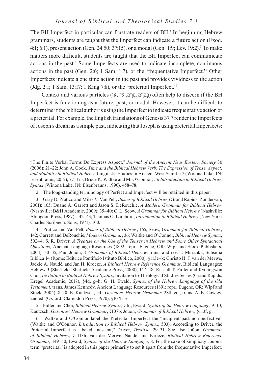The BH Imperfect in particular can frustrate readers of BH.<sup>2</sup> In beginning Hebrew grammars, students are taught that the Imperfect can indicate a future action (Exod. 4:1; 6:1), present action (Gen. 24:50; 37:15), or a modal (Gen. 1:9; Lev. 19:2).<sup>3</sup> To make matters more difficult, students are taught that the BH Imperfect can communicate actions in the past.4 Some Imperfects are used to indicate incomplete, continuous actions in the past (Gen. 2:6; 1 Sam. 1:7), or the 'frequentative Imperfect.'<sup>5</sup> Other Imperfects indicate a one time action in the past and provides vividness to the action (Jdg. 2:1; 1 Sam. 13:17; 1 King 7:8), or the 'preterital Imperfect.'<sup>6</sup>

Context and various particles (גָּטֶרָם, עַד, שֶרָח, פָּנָטָרָם) often help to discern if the BH Imperfect is functioning as a future, past, or modal. However, it can be difficult to determine if the biblical author is using the Imperfect to indicate frequentative action or a preterital. For example, the English translations of Genesis 37:7 render the Imperfects of Joseph's dream as a simple past, indicating that Joseph is using preterital Imperfects:

2. The long-standing terminology of Perfect and Imperfect will be retained in this paper.

3. Gary D. Pratico and Miles V. Van Pelt, *Basics of Biblical Hebrew* (Grand Rapids: Zondervan, 2001): 165; Duane A. Garrett and Jason S. DeRouchie, *A Modern Grammar for Biblical Hebrew*  (Nashville: B&H Academic, 2009): 35–40; C. L. Seow, *A Grammar for Biblical Hebrew* (Nashville: Abingdon Press, 1987): 142–43; Thomas O. Lambdin, *Introduction to Biblical Hebrew* (New York: Charles Scribner's Sons, 1971), 100.

4. Pratico and Van Pelt, *Basics of Biblical Hebrew*, 165; Seow, *Grammar for Biblical Hebrew*, 142; Garrett and DeRouchie, *Modern Grammar*, 36; Waltke and O'Connor, *Biblical Hebrew Syntax*, 502–4; S. R. Driver, *A Treatise on the Use of the Tenses in Hebrew and Some Other Syntactical Questions*, Ancient Language Resources (1892; repr., Eugene, OR: Wipf and Stock Publishers, 2004), 30–35; Paul Joüon, *A Grammar of Biblical Hebrew*, trans. and rev. T. Muraoka, Subsidia Biblica 14 (Rome: Editrice Pontificio Istituto Biblico, 2000), §113e–k; Christo H. J. van der Merwe, Jackie A. Naudé, and Jan H. Kroeze, *A Biblical Hebrew Reference Grammar*, Biblical Languages: Hebrew 3 (Sheffield: Sheffield Academic Press, 2000), 147–48; Russell T. Fuller and Kyoungwon Choi, *Invitation to Biblical Hebrew Syntax*, Invitation to Theological Studies Series (Grand Rapids: Kregel Academic, 2017), §4d, g–h; G. H. Ewald, *Syntax of the Hebrew Language of the Old Testament*, trans. James Kennedy, Ancient Language Resources (1891; repr., Eugene, OR: Wipf and Stock, 2004), 8–10; E. Kautzsch, ed., *Gesenius' Hebrew Grammar*, 28th ed., trans. A. E. Cowley, 2nd ed. (Oxford: Clarendon Press, 1970), §107b–e.

5. Fuller and Choi, *Biblical Hebrew Syntax*, §4d; Ewald, *Syntax of the Hebrew Language*, 9–10; Kautzsch, *Gesenius' Hebrew Grammar*, §107b; Joüon, *Grammar of Biblical Hebrew*, §113f, g.

6. Waltke and O'Connor label the Preterital Imperfect the "incipient past non-perfective" (Waltke and O'Connor, *Introduction to Biblical Hebrew Syntax*, 503). According to Driver, the Preterital Imperfect is labeled "nascent," Driver, *Treatise*, 29–31. See also Joüon, *Grammar of Biblical Hebrew*, § 113h; van der Merwe, Naudé, and Kroeze, *Biblical Hebrew Reference Grammar*, 149–50; Ewald, *Syntax of the Hebrew Language*, 8. For the sake of simplicity Joüon's term "preterital" is adopted in this paper primarily to set it apart from the frequentative Imperfect.

<sup>&</sup>quot;The Finite Verbal Forms Do Express Aspect," *Journal of the Ancient Near Eastern Society* 30 (2006): 21–22; John A. Cook, *Time and the Biblical Hebrew Verb: The Expression of Tense, Aspect, and Modality in Biblical Hebrew*, Linguistic Studies in Ancient West Semitic 7 (Winona Lake, IN: Eisenbrauns, 2012), 77–175; Bruce K. Waltke and M. O'Connor, *An Introduction to Biblical Hebrew Syntax* (Winona Lake, IN: Eisenbrauns, 1990), 458–78.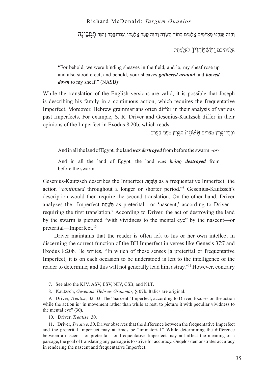וְהִּנֵה אֲנַחְנּו מְאַּלְמִים אֲלֻּמִים ּבְתֹוְך הַּׂשָדֶה וְהִּנֵה קָמָה אֲלֻּמָתִי וְגַם־נִּצָ֑ בָה וְהִּנֵה תְסֻּבֶינָה

אֲלֻּמֺתֵיכֶם וַּתִׁשְּתַחֲוֶיןָ לַאֲלֻּמָתִי׃

"For behold, we were binding sheaves in the field, and lo, my sheaf rose up and also stood erect; and behold, your sheaves *gathered around* and *bowed down* to my sheaf." (NASB)<sup>7</sup>

While the translation of the English versions are valid, it is possible that Joseph is describing his family in a continuous action, which requires the frequentative Imperfect. Moreover, Hebrew grammarians often differ in their analysis of various past Imperfects. For example, S. R. Driver and Gesenius-Kautzsch differ in their opinions of the Imperfect in Exodus 8:20b, which reads:

וּבְכָל־אֶרֶץ מִצְרַיִם תְּ $\ddot{\psi}$ חֶת הָאָרֶץ מִפְּנֵי הֶעַרֹב:

And in all the land of Egypt, the land *was destroyed* from before the swarm. -*or*-

And in all the land of Egypt, the land *was being destroyed* from before the swarm.

Gesenius-Kautzsch describes the Imperfect תֵחָשִּׁתּ as a frequentative Imperfect; the action "continued throughout a longer or shorter period."<sup>8</sup> Gesenius-Kautzsch's description would then require the second translation. On the other hand, Driver analyzes the Imperfect תֵחָשִּׁתּ as preterital—or 'nascent,' according to Driver requiring the first translation.<sup>9</sup> According to Driver, the act of destroying the land by the swarm is pictured "with vividness to the mental eye" by the nascent—or preterital—Imperfect.<sup>10</sup>

Driver maintains that the reader is often left to his or her own intellect in discerning the correct function of the BH Imperfect in verses like Genesis 37:7 and Exodus 8:20b. He writes, "In which of these senses [a preterital or frequentative Imperfect] it is on each occasion to be understood is left to the intelligence of the reader to determine; and this will not generally lead him astray."<sup>11</sup> However, contrary

- 7. See also the KJV, ASV, ESV, NIV, CSB, and NLT.
- 8. Kautzsch, *Gesenius' Hebrew Grammar*, §107b. Italics are original.

9. Driver, *Treatise*, 32–33. The "nascent" Imperfect, according to Driver, focuses on the action while the action is "in movement rather than while at rest, to picture it with peculiar vividness to the mental eye" (30).

10. Driver, *Treatise,* 30.

11. Driver, *Treatise,* 30. Driver observes that the difference between the frequentative Imperfect and the preterital Imperfect may at times be "immaterial." While determining the difference between a nascent—or preterital—or frequentative Imperfect may not affect the meaning of a passage, the goal of translating any passage is to strive for accuracy. Onqelos demonstrates accuracy in rendering the nascent and frequentative Imperfect.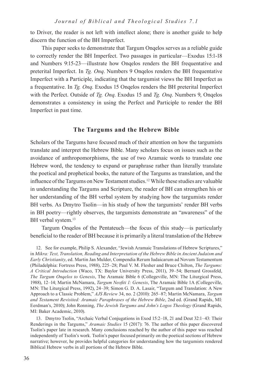to Driver, the reader is not left with intellect alone; there is another guide to help discern the function of the BH Imperfect.

This paper seeks to demonstrate that Targum Onqelos serves as a reliable guide to correctly render the BH Imperfect. Two passages in particular—Exodus 15:1-18 and Numbers 9:15-23—illustrate how Onqelos renders the BH frequentative and preterital Imperfect. In *Tg. Onq*. Numbers 9 Onqelos renders the BH frequentative Imperfect with a Participle, indicating that the targumist views the BH Imperfect as a frequentative. In *Tg. Onq*. Exodus 15 Onqelos renders the BH preterital Imperfect with the Perfect. Outside of *Tg. Onq*. Exodus 15 and *Tg. Onq*. Numbers 9, Onqelos demonstrates a consistency in using the Perfect and Participle to render the BH Imperfect in past time.

# **The Targums and the Hebrew Bible**

Scholars of the Targums have focused much of their attention on how the targumists translate and interpret the Hebrew Bible. Many scholars focus on issues such as the avoidance of anthropomorphisms, the use of two Aramaic words to translate one Hebrew word, the tendency to expand or paraphrase rather than literally translate the poetical and prophetical books, the nature of the Targums as translation, and the influence of the Targums on New Testament studies.12 While these studies are valuable in understanding the Targums and Scripture, the reader of BH can strengthen his or her understanding of the BH verbal system by studying how the targumists render BH verbs. As Dmytro Tsolin—in his study of how the targumists' render BH verbs in BH poetry—rightly observes, the targumists demonstrate an "awareness" of the BH verbal system.<sup>13</sup>

Targum Onqelos of the Pentateuch—the focus of this study—is particularly beneficial to the reader of BH because it is primarily a literal translation of the Hebrew

13. Dmytro Tsolin, "Archaic Verbal Conjugations in Exod 15:2–18, 21 and Deut 32:1–43: Their Renderings in the Targums," *Aramaic Studies* 15 (2017): 76. The author of this paper discovered Tsolin's paper late in research. Many conclusions reached by the author of this paper was reached independently of Tsolin's work. Tsolin's paper focused primarily on the poetical sections of Hebrew narrative; however, he provides helpful categories for understanding how the targumists rendered Biblical Hebrew verbs in all portions of the Hebrew Bible.

<sup>12</sup>. See for example, Philip S. Alexander, "Jewish Aramaic Translations of Hebrew Scriptures," in *Mikra: Text, Translation, Reading and Interpretation of the Hebrew Bible in Ancient Judaism and Early Christianity*, ed. Martin Jan Mulder, Compendia Rerum Iudaicarum ad Novum Testamentum (Philadelphia: Fortress Press, 1988), 225–28; Paul V. M. Flesher and Bruce Chilton, *The Targums: A Critical Introduction* (Waco, TX: Baylor University Press, 2011), 39–54; Bernard Grossfeld, *The Targum Onqelos to Genesis*, The Aramaic Bible 6 (Collegeville, MN: The Liturgical Press, 1988), 12–14; Martin McNamara, *Targum Neofiti 1: Genesis*, The Aramaic Bible 1A (Collegeville, MN: The Liturgical Press, 1992), 24–39; Simon G. D. A. Lasair, "Targum and Translation: A New Approach to a Classic Problem," *AJS Review* 34, no. 2 (2010): 265–87; Martin McNamara, *Targum and Testament Revisited: Aramaic Paraphrases of the Hebrew Bible*, 2nd ed. (Grand Rapids, MI: Eerdman's, 2010); John Ronning, *The Jewish Targums and John's Logos Theology* (Grand Rapids, MI: Baker Academic, 2010).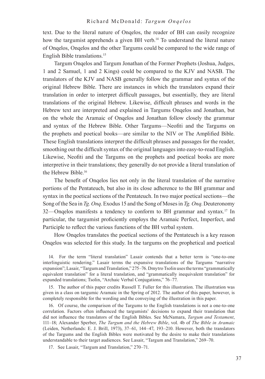text. Due to the literal nature of Onqelos, the reader of BH can easily recognize how the targumist apprehends a given BH verb.<sup>14</sup> To understand the literal nature of Onqelos, Onqelos and the other Targums could be compared to the wide range of English Bible translations.<sup>15</sup>

Targum Onqelos and Targum Jonathan of the Former Prophets (Joshua, Judges, 1 and 2 Samuel, 1 and 2 Kings) could be compared to the KJV and NASB. The translators of the KJV and NASB generally follow the grammar and syntax of the original Hebrew Bible. There are instances in which the translators expand their translation in order to interpret difficult passages, but essentially, they are literal translations of the original Hebrew. Likewise, difficult phrases and words in the Hebrew text are interpreted and explained in Targums Onqelos and Jonathan, but on the whole the Aramaic of Onqelos and Jonathan follow closely the grammar and syntax of the Hebrew Bible. Other Targums—Neofiti and the Targums on the prophets and poetical books—are similar to the NIV or The Amplified Bible. These English translations interpret the difficult phrases and passages for the reader, smoothing out the difficult syntax of the original languages into easy-to-read English. Likewise, Neofiti and the Targums on the prophets and poetical books are more interpretive in their translations; they generally do not provide a literal translation of the Hebrew Bible.<sup>16</sup>

The benefit of Onqelos lies not only in the literal translation of the narrative portions of the Pentateuch, but also in its close adherence to the BH grammar and syntax in the poetical sections of the Pentateuch. In two major poetical sections—the Song of the Sea in *Tg. Onq*. Exodus 15 and the Song of Moses in *Tg. Onq*. Deuteronomy 32—Onqelos manifests a tendency to conform to BH grammar and syntax.17 In particular, the targumist proficiently employs the Aramaic Perfect, Imperfect, and Participle to reflect the various functions of the BH verbal system.

How Onqelos translates the poetical sections of the Pentateuch is a key reason Onqelos was selected for this study. In the targums on the prophetical and poetical

14. For the term "literal translation" Lasair contends that a better term is "one-to-one interlinguistic rendering." Lasair terms the expansive translations of the Targums "narrative expansion"; Lasair, "Targum and Translation," 275–76. Dmytro Tsolin uses the terms "grammatically equivalent translation" for a literal translation, and "grammatically inequivalent translation" for expanded translations; Tsolin, "Archaic Verbal Conjugations," 76–77.

15. The author of this paper credits Russell T. Fuller for this illustration. The illustration was given in a class on targumic Aramaic in the Spring of 2012. The author of this paper, however, is completely responsible for the wording and the conveying of the illustration in this paper.

16. Of course, the comparison of the Targums to the English translations is not a one-to-one correlation. Factors often influenced the targumists' decisions to expand their translation that did not influence the translators of the English Bibles. See McNamara, *Targum and Testament*, 111–18; Alexander Sperber, *The Targum and the Hebrew Bible*, vol. 4b of *The Bible in Aramaic*  (Leiden, Netherlands: E. J. Brill, 1973), 37–61, 144–47, 193–210. However, both the translators of the Targums and the English Bibles were motivated by the desire to make their translations understandable to their target audiences. See Lasair, "Targum and Translation," 269–70.

17. See Lasair, "Targum and Translation," 270–71.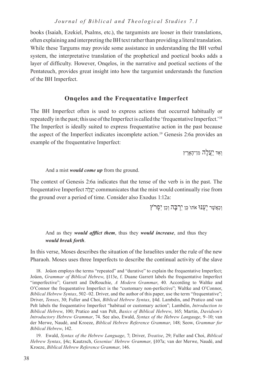books (Isaiah, Ezekiel, Psalms, etc.), the targumists are looser in their translations, often explaining and interpreting the BH text rather than providing a literal translation. While these Targums may provide some assistance in understanding the BH verbal system, the interpretative translation of the prophetical and poetical books adds a layer of difficulty. However, Onqelos, in the narrative and poetical sections of the Pentateuch, provides great insight into how the targumist understands the function of the BH Imperfect.

# **Onqelos and the Frequentative Imperfect**

The BH Imperfect often is used to express actions that occurred habitually or repeatedly in the past; this use of the Imperfect is called the 'frequentative Imperfect.'<sup>18</sup> The Imperfect is ideally suited to express frequentative action in the past because the aspect of the Imperfect indicates incomplete action.19 Genesis 2:6a provides an example of the frequentative Imperfect:

וְאֵד יַעֲלֶה מִן־הָָארֶ ץ

And a mist *would come up* from the ground.

The context of Genesis 2:6a indicates that the tense of the verb is in the past. The frequentative Imperfect הֶלֲעַי communicates that the mist would continually rise from the ground over a period of time. Consider also Exodus 1:12a:

וְכַאֲשֶר יְעַבּוּ אתו כֵּן יְרָבֵה וְכֵן יִפְרֹץ

And as they *would afflict them*, thus they *would increase*, and thus they *would break forth*.

In this verse, Moses describes the situation of the Israelites under the rule of the new Pharaoh. Moses uses three Imperfects to describe the continual activity of the slave

19. Ewald, *Syntax of the Hebrew Language*, 7; Driver, *Treatise*, 29; Fuller and Choi, *Biblical Hebrew Syntax*, §4c; Kautzsch, *Gesenius' Hebrew Grammar*, §107a; van der Merwe, Naudé, and Kroeze, *Biblical Hebrew Reference Grammar*, 146.

<sup>18</sup>. Joüon employs the terms "repeated" and "durative" to explain the frequentative Imperfect; Joüon, *Grammar of Biblical Hebrew*, §113e, f. Duane Garrett labels the frequentative Imperfect "imperfective"; Garrett and DeRouchie, *A Modern Grammar*, 40. According to Waltke and O'Connor the frequentative Imperfect is the "customary non-perfective"; Waltke and O'Connor, *Biblical Hebrew Syntax*, 502–02. Driver, and the author of this paper, use the term "frequentative"; Driver, *Tenses*, 30; Fuller and Choi, *Biblical Hebrew Syntax*, §4d. Lambdin, and Pratico and van Pelt labels the frequentative Imperfect "habitual or customary action"; Lambdin, *Introduction to Biblical Hebrew*, 100; Pratico and van Pelt, *Basics of Biblical Hebrew*, 165; Martin, *Davidson's Introductory Hebrew Grammar*, 74. See also, Ewald, *Syntax of the Hebrew Langauge*, 9–10; van der Merwe, Naudé, and Kroeze, *Biblical Hebrew Reference Grammar*, 148; Seow, *Grammar for Biblical Hebrew*, 142.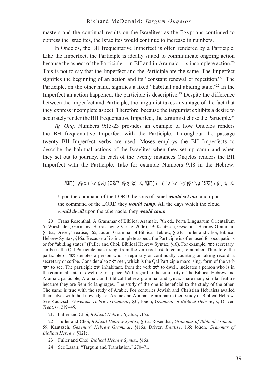masters and the continual results on the Israelites: as the Egyptians continued to oppress the Israelites, the Israelites would continue to increase in numbers.

In Onqelos, the BH frequentative Imperfect is often rendered by a Participle. Like the Imperfect, the Participle is ideally suited to communicate ongoing action because the aspect of the Participle—in BH and in Aramaic—is incomplete action.<sup>20</sup> This is not to say that the Imperfect and the Participle are the same. The Imperfect signifies the beginning of an action and its "constant renewal or repetition."<sup>21</sup> The Participle, on the other hand, signifies a fixed "habitual and abiding state."<sup>22</sup> In the Imperfect an action happened; the participle is descriptive.23 Despite the difference between the Imperfect and Participle, the targumist takes advantage of the fact that they express incomplete aspect. Therefore, because the targumist exhibits a desire to accurately render the BH frequentative Imperfect, the targumist chose the Participle.<sup>24</sup>

*Tg. Onq*. Numbers 9:15-23 provides an example of how Onqelos renders the BH frequentative Imperfect with the Participle. Throughout the passage twenty BH Imperfect verbs are used. Moses employs the BH Imperfects to describe the habitual actions of the Israelites when they set up camp and when they set out to journey. In each of the twenty instances Onqelos renders the BH Imperfect with the Participle. Take for example Numbers 9:18 in the Hebrew:

ַיִּטְבוּ יִהְנֶה יִסְעוּ בְּנֵי יִשְׂרָאֵל וְעַל־פִּי יְהוָה יַחֲנָן כָּל־יָמֵי אֲשֶׁר יִשְׁכֹּן הֶעָנָן עַל־הַמִּשְׁכָּן יַחֲנוּ:

Upon the command of the LORD the sons of Israel *would set out*, and upon the command of the LORD they *would camp*. All the days which the cloud *would dwell* upon the tabernacle, they *would camp*.

20. Franz Rosenthal, A Grammar of Biblical Aramaic, 7th ed., Porta Linguarum Orientalium 5 (Wiesbaden, Germany: Harrassowitz Verlag, 2006), 59; Kautzsch, Gesenius' Hebrew Grammar, §116a; Driver, Treatise, 165; Joüon, Grammar of Biblical Hebrew, §121c; Fuller and Choi, Biblical Hebrew Syntax, §16a. Because of its incomplete aspect, the Participle is often used for occupations or for "abiding states" (Fuller and Choi, Biblical Hebrew Syntax, §16). For example, רֵפֺס secretary, scribe is the Qal Participle masc. sing. from the verb root ספר to count, to number. Therefore, the participle of ספר denotes a person who is regularly or continually counting or taking record: a secretary or scribe. Consider also הֶאֺר seer, which is the Qal Participle masc. sing. form of the verb ראה to see. The participle בֵשֺׁי inhabitant, from the verb שבׁי to dwell, indicates a person who is in the continual state of dwelling in a place. With regard to the similarity of the Biblical Hebrew and Aramaic participle, Aramaic and Biblical Hebrew grammar and syntax share many similar feature because they are Semitic languages. The study of the one is beneficial to the study of the other. The same is true with the study of Arabic. For centuries Jewish and Christian Hebraists availed themselves with the knowledge of Arabic and Aramaic grammar in their study of Biblical Hebrew. See Kautzsch, *Gesenius' Hebrew Grammar*, §3f; Joüon, *Grammar of Biblical Hebrew*, x; Driver, *Treatise*, 219–45.

21. Fuller and Choi, *Biblical Hebrew Syntax*, §16a.

22. Fuller and Choi, *Biblical Hebrew Syntax*, §16a; Rosenthal, *Grammar of Biblical Aramaic*, 59; Kautzsch, *Gesenius' Hebrew Grammar*, §116a; Driver, *Treatise*, 165; Joüon, *Grammar of Biblical Hebrew*, §121c.

23. Fuller and Choi, *Biblical Hebrew Syntax*, §16a.

24. See Lasair, "Targum and Translation," 270–71.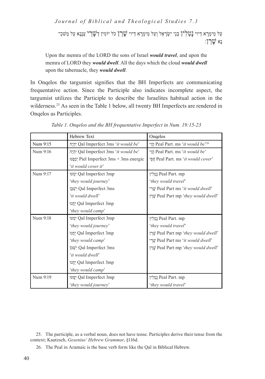יַנִּל מֵימְרָא דַיוי **נָטְלְין** בְנֵי יִשְׂרָאֵל וְעַל מֵימְרָא דַיוי  $\Psi$ רַךְ כֹל יוֹמִין דְ $\Psi$ רֵךְ עֲנָנָא עַל מַּשׁכְ  $\mathbb{C}$ נא שרן:

Upon the memra of the LORD the sons of Israel *would travel*, and upon the memra of LORD they *would dwell*. All the days which the cloud *would dwell*  upon the tabernacle, they *would dwell*.

In Onqelos the targumist signifies that the BH Imperfects are communicating frequentative action. Since the Participle also indicates incomplete aspect, the targumist utilizes the Participle to describe the Israelites habitual action in the wilderness.<sup>25</sup> As seen in the Table 1 below, all twenty BH Imperfects are rendered in Onqelos as Participles.

|          | <b>Hebrew Text</b>                               | Ongelos                                       |
|----------|--------------------------------------------------|-----------------------------------------------|
| Num 9:15 | יִהְיֶה Qal Imperfect 3ms 'it would be'          | הֲוֵי Peal Part. ms 'it would be'26           |
| Num 9:16 | יִהְיֶה Qal Imperfect 3ms ' <i>it would be</i> ' | הוי Peal Part. ms 'it would be'               |
|          | Piel Imperfect 3ms + 3ms energic                 | הָפֵי Peal Part. ms <i>'it would cover'</i>   |
|          | 'it would cover it'                              |                                               |
| Num 9:17 | py Qal Imperfect 3mp                             | ַנָּטְלִין Peal Part. mp                      |
|          | 'they would journey'                             | 'they would travel'                           |
|          | <b>Qal Imperfect 3ms</b>                         | שֲרֵי Peal Part ms 'it would dwell'           |
|          | 'it would dwell'                                 | peal Part mp 'they would dwell'               |
|          | Dal Imperfect 3mp                                |                                               |
|          | 'they would camp'                                |                                               |
| Num 9:18 | pv Qal Imperfect 3mp                             | ַנְטְלִין Peal Part. mp                       |
|          | 'they would journey'                             | 'they would travel'                           |
|          | Dal Imperfect 3mp                                | peal Part mp 'they would dwell'               |
|          | 'they would camp'                                | יֵתֵי Peal Part ms <i>'it would dwell'</i>    |
|          | ישְׁכּן Qal Imperfect 3ms                        | שֲרַן Peal Part mp <i>'they would dwell</i> ' |
|          | 'it would dwell'                                 |                                               |
|          | Oal Imperfect 3mp                                |                                               |
|          | 'they would camp'                                |                                               |
| Num 9:19 | p: Qal Imperfect 3mp                             | ַנְטְלִין Peal Part. mp                       |
|          | 'they would journey'                             | 'they would travel'                           |

*Table 1. Onqelos and the BH frequentative Imperfect in Num. 19:15-23*

<sup>25</sup>. The participle, as a verbal noun, does not have tense. Participles derive their tense from the context; Kautzsch, *Gesenius' Hebrew Grammar*, §116d.

<sup>26</sup>. The Peal in Aramaic is the base verb form like the Qal in Biblical Hebrew.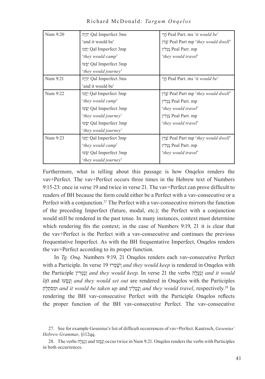| Num 9:20 | יִהְיֶה Qal Imperfect 3ms   | הוי Peal Part. ms 'it would be'                       |  |
|----------|-----------------------------|-------------------------------------------------------|--|
|          | 'and it would be'           | שֲרַן Peal Part mp <i>'they would dwell</i> '         |  |
|          | Oal Imperfect 3mp           | ַנְטְלִין Peal Part. mp                               |  |
|          | 'they would camp'           | 'they would travel'                                   |  |
|          | יַסָּעוּ? Qal Imperfect 3mp |                                                       |  |
|          | 'they would journey'        |                                                       |  |
| Num 9:21 | יִהְיֶה Qal Imperfect 3ms   | <u>הו</u> י Peal Part. ms <i>'it would be'</i>        |  |
|          | 'and it would be'           |                                                       |  |
| Num 9:22 | Oal Imperfect 3mp           | שרן Peal Part mp <i>'they would dwell</i> '           |  |
|          | 'they would camp'           | ַנְטְלִין Peal Part. mp                               |  |
|          | סְעוּ Qal Imperfect 3mp     | 'they would travel'                                   |  |
|          | 'they would journey'        | ַנְטְלִין Peal Part. mp                               |  |
|          | סְעוּ Qal Imperfect 3mp     | 'they would travel'                                   |  |
|          | 'they would journey'        |                                                       |  |
| Num 9:23 | Oal Imperfect 3mp           | י <u>שר</u> ן Peal Part mp <i>'they would dwell</i> ' |  |
|          | 'they would camp'           | ַנְטְלִין Peal Part. mp                               |  |
|          | יסעוּ Qal Imperfect 3mp     | 'they would travel'                                   |  |
|          | 'they would journey'        |                                                       |  |

Richard McDonald: *Targum Onqelos*

Furthermore, what is telling about this passage is how Onqelos renders the vav+Perfect. The vav+Perfect occurs three times in the Hebrew text of Numbers 9:15-23: once in verse 19 and twice in verse 21. The vav+Perfect can prove difficult to readers of BH because the form could either be a Perfect with a vav-consecutive or a Perfect with a conjunction.27 The Perfect with a vav-consecutive mirrors the function of the preceding Imperfect (future, modal, etc.); the Perfect with a conjunction would still be rendered in the past tense. In many instances, context must determine which rendering fits the context; in the case of Numbers 9:19, 21 it is clear that the vav+Perfect is the Perfect with a vav-consecutive and continues the previous frequentative Imperfect. As with the BH frequentative Imperfect, Onqelos renders the vav+Perfect according to its proper function.

In *Tg. Onq*. Numbers 9:19, 21 Onqelos renders each vav-consecutive Perfect with a Participle. In verse 19 וּרְמָשְׁו *and they would keep* is rendered in Onqelos with the Participle ין ִרְטָנְו *and they would keep*. In verse 21 the verbs הָלֲעַנְו *and it would lift* and וּעָסָנְו *and they would set out* are rendered in Onqelos with the Participles קַלַסתִומּ *and it would be taken up* and יןִלְטָנְו *and they would travel*, respectively.28 In rendering the BH vav-consecutive Perfect with the Participle Onqelos reflects the proper function of the BH vav-consecutive Perfect. The vav-consecutive

<sup>27</sup>. See for example Gesenius's list of difficult occurrences of vav+Perfect. Kautzsch, *Gesenius' Hebrew Grammar*, §112qq.

<sup>28</sup>. The verbs הָלֲעַנְו and וּעָסָנְו occur twice in Num 9:21. Onqelos renders the verbs with Participles in both occurrences.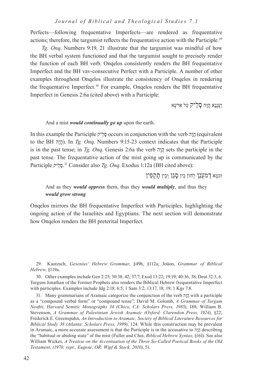Perfects—following frequentative Imperfects—are rendered as frequentative actions; therefore, the targumist reflects the frequentative action with the Participle.<sup>29</sup>

*Tg. Onq*. Numbers 9:19, 21 illustrate that the targumist was mindful of how the BH verbal system functioned and that the targumist sought to precisely render the function of each BH verb. Onqelos consistently renders the BH frequentative Imperfect and the BH vav-consecutive Perfect with a Participle. A number of other examples throughout Onqelos illustrate the consistency of Onqelos in rendering the frequentative Imperfect.30 For example, Onqelos renders the BH frequentative Imperfect in Genesis 2:6a (cited above) with a Participle:

וַעֲנָנָא הֲוָה סָלֵיק עַל ַארעָא

#### And a mist *would continually go up* upon the earth.

In this example the Participle יקֵלָס occurs in conjunction with the verb הָוֲה) equivalent to the BH הָיָה(. In *Tg. Onq*. Numbers 9:15-23 context indicates that the Participle is in the past tense; in *Tg. Onq*. Genesis 2:6a the verb הָוֲה sets the participle in the past tense. The frequentative action of the mist going up is communicated by the .סָלֵיק Participle 31 Consider also *Tg. Onq*. Exodus 1:12a (BH cited above):

ּוכמָא דְמעַנַן לְהוֺן כֵין סָגַן וְכֵין תָקְפִין

# And as they *would oppress* them, thus they *would multiply*, and thus they *would grow strong*

Onqelos mirrors the BH frequentative Imperfect with Participles, highlighting the ongoing action of the Israelites and Egyptians. The next section will demonstrate how Onqelos renders the BH preterital Imperfect.

29. Kautzsch, *Gesenius' Hebrew Grammar*, §49h, §112a; Joüon, *Grammar of Biblical Hebrew*, §119a.

30. Other examples include Gen 2:25; 30:38, 42; 37:7; Exod 13:22; 19:19; 40:36, 38; Deut 32:3, 6. Targum Jonathan of the Former Prophets also renders the Biblical Hebrew frequentative Imperfect with participles. Examples include Jdg 2:18; 6:5; 1 Sam 3:2; 13:17, 18; 19; 1 Kgs 7:8.

31. Many grammarians of Aramaic categorize the conjunction of the verb הָוֲה with a participle as a "compound verbal form" or "compound tense"; David M. Golomb, *A Grammar of Targum Neofiti, Harvard Semitic Monographs 34 (Chico, CA: Scholars Press, 1985)*, 188; William B. Stevenson, *A Grammar of Palestinian Jewish Aramaic (Oxford: Clarendon Press, 1924)*, §22; Frederick E. Greenspahn, *An Introduction to Aramaic, Society of Biblical Literature Resources for Biblical Study 38 (Atlanta: Scholars Press, 1999)*, 124. While this construction may be prevalent in Aramaic, a more accurate assessment is that the Participle is in the accusative to הָוֲה describing the "habitual or abiding state" of the mist (Fuller and Choi, *Biblical Hebrew Syntax*, §16l). See also William Wickes, *A Treatise on the Accentuation of the Three So-Called Poetical Books of the Old Testament, (1970; repr., Eugene, OR: Wipf & Stock, 2010)*, 51.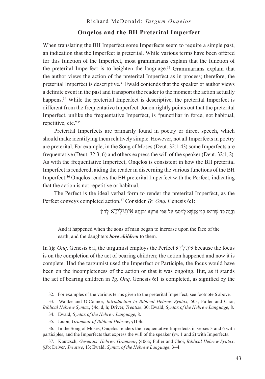# **Onqelos and the BH Preterital Imperfect**

When translating the BH Imperfect some Imperfects seem to require a simple past, an indication that the Imperfect is preterital. While various terms have been offered for this function of the Imperfect, most grammarians explain that the function of the preterital Imperfect is to heighten the language.32 Grammarians explain that the author views the action of the preterital Imperfect as in process; therefore, the preterital Imperfect is descriptive.33 Ewald contends that the speaker or author views a definite event in the past and transports the reader to the moment the action actually happens.<sup>34</sup> While the preterital Imperfect is descriptive, the preterital Imperfect is different from the frequentative Imperfect. Joüon rightly points out that the preterital Imperfect, unlike the frequentative Imperfect, is "punctiliar in force, not habitual, repetitive, etc."35

Preterital Imperfects are primarily found in poetry or direct speech, which should make identifying them relatively simple. However, not all Imperfects in poetry are preterital. For example, in the Song of Moses (Deut. 32:1-43) some Imperfects are frequentative (Deut. 32:3, 6) and others express the will of the speaker (Deut. 32:1, 2). As with the frequentative Imperfect, Onqelos is consistent in how the BH preterital Imperfect is rendered, aiding the reader in discerning the various functions of the BH Imperfect.36 Onqelos renders the BH preterital Imperfect with the Perfect, indicating that the action is not repetitive or habitual.

The Perfect is the ideal verbal form to render the preterital Imperfect, as the Perfect conveys completed action.37 Consider *Tg. Onq*. Genesis 6:1:

וַהֲוָה כַד שַׁרִיאוּ בְנֵי אֲנַשָׁא לְמִסגֵי עַל אַפֵּי אַרעָא וּבנַתָא אָיתִילִידַא לְהוֹן

And it happened when the sons of man began to increase upon the face of the earth, and the daughters *bore children* to them.

In *Tg. Onq*. Genesis 6:1, the targumist employs the Perfect אָידִילִיתִא because the focus is on the completion of the act of bearing children; the action happened and now it is complete. Had the targumist used the Imperfect or Participle, the focus would have been on the incompleteness of the action or that it was ongoing. But, as it stands the act of bearing children in *Tg. Onq*. Genesis 6:1 is completed, as signified by the

32. For examples of the various terms given to the preterital Imperfect, see footnote 6 above.

33. Waltke and O'Connor, *Introduction to Biblical Hebrew Syntax*, 503; Fuller and Choi, *Biblical Hebrew Syntax*, §4c, d, h; Driver, *Treatise*, 30; Ewald, *Syntax of the Hebrew Language*, 8.

34. Ewald, *Syntax of the Hebrew Language*, 8.

35. Joüon, *Grammar of Biblical Hebrew*, §113h.

36. In the Song of Moses, Onqelos renders the frequentative Imperfects in verses 3 and 6 with participles, and the Imperfects that express the will of the speaker (vv. 1 and 2) with Imperfects.

37. Kautzsch, *Gesenius' Hebrew Grammar*, §106a; Fuller and Choi, *Biblical Hebrew Syntax*, §3b; Driver, *Treatise*, 13; Ewald, *Syntax of the Hebrew Language*, 3–4.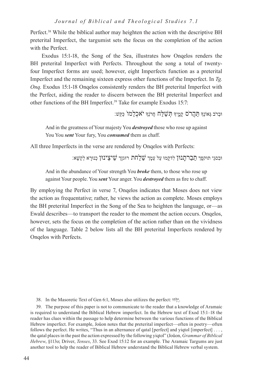Perfect.<sup>38</sup> While the biblical author may heighten the action with the descriptive BH preterital Imperfect, the targumist sets the focus on the completion of the action with the Perfect.

Exodus 15:1-18, the Song of the Sea, illustrates how Onqelos renders the BH preterital Imperfect with Perfects. Throughout the song a total of twentyfour Imperfect forms are used; however, eight Imperfects function as a preterital Imperfect and the remaining sixteen express other functions of the Imperfect. In *Tg. Onq*. Exodus 15:1-18 Onqelos consistently renders the BH preterital Imperfect with the Perfect, aiding the reader to discern between the BH preterital Imperfect and other functions of the BH Imperfect.<sup>39</sup> Take for example Exodus 15:7:

ּובְרֺב ּגְאֹונְָך ּתַהֲרֺס קָמֶ֑יָך ּתְׁשַּלַח חֲרֺנְָך יֺאכְלֵמוֺ ּכַּקַׁש׃

And in the greatness of Your majesty You *destroyed* those who rose up against You You *sent* Your fury, You *consumed* them as chaff.

All three Imperfects in the verse are rendered by Onqelos with Perfects:

ּובִסגֵי תּוקפָך תַבַרתָנּון לִדקָמּו עַל עַמָך ׁשַלַחת רּוגזָך ׁשֵיצֵינּון כְנּורָ א לְקַׁשָא׃

And in the abundance of Your strength You *broke* them, to those who rose up against Your people. You *sent* Your anger. You *destroyed* them as fire to chaff.

By employing the Perfect in verse 7, Onqelos indicates that Moses does not view the action as frequentative; rather, he views the action as complete. Moses employs the BH preterital Imperfect in the Song of the Sea to heighten the language, or—as Ewald describes—to transport the reader to the moment the action occurs. Onqelos, however, sets the focus on the completion of the action rather than on the vividness of the language. Table 2 below lists all the BH preterital Imperfects rendered by Onqelos with Perfects.

38. In the Masoretic Text of Gen 6:1, Moses also utilizes the perfect: וּדְלֻּי.

39. The purpose of this paper is not to communicate to the reader that a knowledge of Aramaic is required to understand the Biblical Hebrew imperfect. In the Hebrew text of Exod 15:1–18 the reader has clues within the passage to help determine between the various functions of the Biblical Hebrew imperfect. For example, Joüon notes that the preterital imperfect—often in poetry—often follows the perfect. He writes, "Thus in an alternance of qatal [perfect] and yiqtol [imperfect] . . . , the qatal places in the past the action expressed by the following yiqtol" (Joüon, *Grammar of Biblical Hebrew*, §113o; Driver, *Tenses*, 33. See Exod 15:12 for an example. The Aramaic Targums are just another tool to help the reader of Biblical Hebrew understand the Biblical Hebrew verbal system.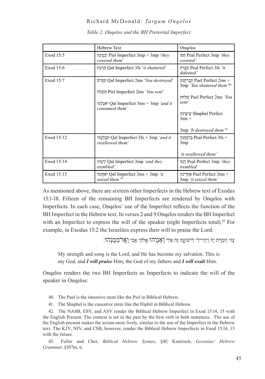|            | <b>Hebrew Text</b>                                                                                                                    | Ongelos                                                                                                                                                                            |
|------------|---------------------------------------------------------------------------------------------------------------------------------------|------------------------------------------------------------------------------------------------------------------------------------------------------------------------------------|
| Exod 15:5  | יְבַסְיֻמוּ Piel Imperfect 3mp + 3mp <i>'they</i><br>covered them'                                                                    | Peal Perfect 3mp <i>'they</i><br>covered'                                                                                                                                          |
| Exod 15:6  | הרעץ Qal Imperfect 3fs <i>'it shattered'</i>                                                                                          | תְּבַרַת Peal Perfect 3fs 'it<br>defeated'                                                                                                                                         |
| Exod 15:7  | Oal Imperfect 2ms 'You destroyed'<br>piel Imperfect 2ms 'You sent'<br>'אכלמו Qal Imperfect 3ms + 3mp <i>'and it</i><br>consumed them' | תברתנון Pael Perfect 2ms +<br>3mp 'You shattered them'40<br>Pael Perfect 2ms <i>'You</i> '<br>sent'<br>שיצינון Shaphel Perfect<br>$3ms +$<br>3mp 'It destroyed them' <sup>41</sup> |
| Exod 15:12 | 'n Qal Imperfect 3fs + 3mp <i>'and it</i><br>swallowed them'                                                                          | Peal Perfect 3fs + בלעתנון<br>3mp<br>'it swallowed them'                                                                                                                           |
| Exod 15:14 | יִרְגָּזוּן Qal Imperfect 3mp 'and they<br>trembled'                                                                                  | וזעו Peal Perfect 3mp <i>'they</i><br>trembled'                                                                                                                                    |
| Exod 15:15 | 'אַחֲזֵמוֹ Qal Imperfect 3ms + 3mp 'it<br>seized them <sup>'42</sup>                                                                  | אחדינון Pael Perfect 3ms +<br>3mp 'it seized them'                                                                                                                                 |

*Table 2. Onqelos and the BH Preterital Imperfect*

As mentioned above, there are sixteen other Imperfects in the Hebrew text of Exodus 15:1-18. Fifteen of the remaining BH Imperfects are rendered by Onqelos with Imperfects. In each case, Onqelos' use of the Imperfect reflects the function of the BH Imperfect in the Hebrew text. In verses 2 and 9 Onqelos renders the BH Imperfect with an Imperfect to express the will of the speaker (eight Imperfects total).<sup>43</sup> For example, in Exodus 15:2 the Israelites express their will to praise the Lord:

עָזִּי וְזִמְרָ ת יָהּ וַיְהִי־לִי לִישׁוּעָ֑ ה זֶה אֵלִי וְאַנְוֵהוּ אֱֹלהֵי אָבִי וַאֲר ֹמְמֶנְהוּ׃

My strength and song is the Lord, and He has become my salvation. This is my God, and *I will praise* Him; the God of my fathers and *I will exalt* Him.

Onqelos renders the two BH Imperfects as Imperfects to indicate the will of the speaker in Onqelos:

40. The Pael is the intensive stem like the Piel in Biblical Hebrew.

41. The Shaphel is the causative stem like the Hiphil in Biblical Hebrew.

42. The NASB, ESV, and ASV render the Biblical Hebrew Imperfect in Exod 15:14, 15 with the English Present. The context is set in the past by the first verb in both sentences. The use of the English present makes the action more lively, similar to the use of the Imperfect in the Hebrew text. The KJV, NIV, and CSB, however, render the Biblical Hebrew Imperfects in Exod 15:14, 15 with the future.

43. Fuller and Choi, *Biblical Hebrew Syntax*, §4f; Kautzsch, *Gesenius' Hebrew Grammar*, §107m, n.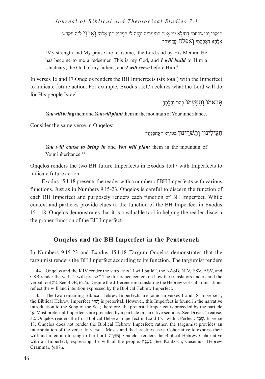תּוקפִי וְתּוׁשבַחתִי דְחִילָא יוי אְמַר בְמֵימְרֵ יה וַהְוָה לִי לְפָרִ יק דֵין אְלָהִי וְאִבנֵי לֵיה מַקדַׁש אְלָהָא דַאְבָהָתִי וְַאפלַח קְדָמוֺהִי׃

'My strength and My praise are fearsome,' the Lord said by His Memra. He has become to me a redeemer. This is my God, and *I will build* to Him a sanctuary; the God of my fathers, and *I will serve* before Him.<sup>44</sup>

In verses 16 and 17 Onqelos renders the BH Imperfects (six total) with the Imperfect to indicate future action. For example, Exodus 15:17 declares what the Lord will do for His people Israel:

תִּבְאָמוֹ וִתְטַעַמוֹ בֵּהֵר נַחֲלְתְךָ

*You will bring* them and *You will plant* them in the mountain of Your inheritance.

Consider the same verse in Onqelos:

תַעֵילִינּון וְתַׁשרֵ ינּון בְטּורָ א דְַאחסָנְתָך

*You will cause to bring in* and *You will plant* them in the mountain of Your inheritance.<sup>45</sup>

Onqelos renders the two BH future Imperfects in Exodus 15:17 with Imperfects to indicate future action.

Exodus 15:1-18 presents the reader with a number of BH Imperfects with various functions. Just as in Numbers 9:15-23, Onqelos is careful to discern the function of each BH Imperfect and purposely renders each function of BH Imperfect. While context and particles provide clues to the function of the BH Imperfect in Exodus 15:1-18, Onqelos demonstrates that it is a valuable tool in helping the reader discern the proper function of the BH Imperfect.

# **Onqelos and the BH Imperfect in the Pentateuch**

In Numbers 9:15-23 and Exodus 15:1-18 Targum Onqelos demonstrates that the targumist renders the BH Imperfect according to its function. The targumist renders

44. Onqelos and the KJV render the verb הוֵּוְאַנ" I will build"; the NASB, NIV, ESV, ASV, and CSB render the verb "I will praise." The difference centers on how the translators understand the verbal root נוה. See BDB, 627a. Despite the difference in translating the Hebrew verb, all translations reflect the will and intention expressed by the Biblical Hebrew Imperfect.

45. The two remaining Biblical Hebrew Imperfects are found in verses 1 and 18. In verse 1, the Biblical Hebrew Imperfect ירִשָׁי is preterital. However, this Imperfect is found in the narrative introduction to the Song of the Sea; therefore, the preterital Imperfect is preceded by the particle אזָ. Most preterital Imperfects are preceded by a particle in narrative sections. See Driver, Treatise, 32. Onqelos renders the first Biblical Hebrew Imperfect in Exod 15:1 with a Perfect: חַבַשׁ. In verse 18, Onqelos does not render the Biblical Hebrew Imperfect; rather, the targumist provides an interpretation of the verse. In verse 1 Moses and the Israelites use a Cohortative to express their will and intention to sing to the Lord: אָשִׁיְרָה. Onqelos renders the Biblical Hebrew Cohortative with an Imperfect, expressing the will of the people: חַבַשְׁנ. See Kautzsch, Gesenius' Hebrew Grammar, §107n.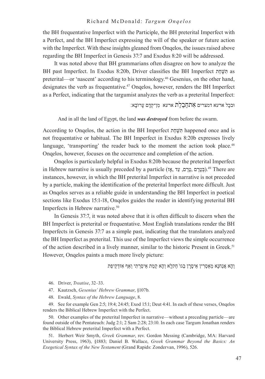the BH frequentative Imperfect with the Participle, the BH preterital Imperfect with a Perfect, and the BH Imperfect expressing the will of the speaker or future action with the Imperfect. With these insights gleaned from Onqelos, the issues raised above regarding the BH Imperfect in Genesis 37:7 and Exodus 8:20 will be addressed.

It was noted above that BH grammarians often disagree on how to analyze the BH past Imperfect. In Exodus 8:20b, Driver classifies the BH Imperfect תֵחָשִּׁתּ as preterital—or 'nascent' according to his terminology.46 Gesenius, on the other hand, designates the verb as frequentative.47 Onqelos, however, renders the BH Imperfect as a Perfect, indicating that the targumist analyzes the verb as a preterital Imperfect:

ּובכָל ארעא דמצרים אִתחַבַלַת ארעא מִן־קְדָם עָרוֺבָא׃

And in all the land of Egypt, the land *was destroyed* from before the swarm.

According to Onqelos, the action in the BH Imperfect תֵחָשִּׁתּ happened once and is not frequentative or habitual. The BH Imperfect in Exodus 8:20b expresses lively language, 'transporting' the reader back to the moment the action took place.<sup>48</sup> Onqelos, however, focuses on the occurrence and completion of the action.

Onqelos is particularly helpful in Exodus 8:20b because the preterital Imperfect in Hebrew narrative is usually preceded by a particle (גַּטֶרֶם, עֲדָ, הָיָן, בְּחֲרָם, 49 There are instances, however, in which the BH preterital Imperfect in narrative is not preceded by a particle, making the identification of the preterital Imperfect more difficult. Just as Onqelos serves as a reliable guide in understanding the BH Imperfect in poetical sections like Exodus 15:1-18, Onqelos guides the reader in identifying preterital BH Imperfects in Hebrew narrative.<sup>50</sup>

In Genesis 37:7, it was noted above that it is often difficult to discern when the BH Imperfect is preterital or frequentative. Most English translations render the BH Imperfects in Genesis 37:7 as a simple past, indicating that the translators analyzed the BH Imperfect as preterital. This use of the Imperfect views the simple occurrence of the action described in a lively manner, similar to the historic Present in Greek.51 However, Onqelos paints a much more lively picture:

וְהָא אֲנַחנָא מְַאסְרִ ין אֵיסָרָ ן בְגוֺ חַקלָא וְהָא קַמַת אֵיסַרְ תִי וְַאף אִזדְקֵיפַת

46. Driver, *Treatise*, 32–33.

47. Kautzsch, *Gesenius' Hebrew Grammar*, §107b.

48. Ewald, *Syntax of the Hebrew Language*, 8.

49. See for example Gen 2:5; 19:4; 24:45; Exod 15:1; Deut 4:41. In each of these verses, Onqelos renders the Biblical Hebrew Imperfect with the Perfect.

50. Other examples of the preterital Imperfect in narrative—without a preceding particle—are found outside of the Pentateuch: Judg 2:1; 2 Sam 2:28; 23:10. In each case Targum Jonathan renders the Biblical Hebrew preterital Imperfect with a Perfect.

51. Herbert Weir Smyth, *Greek Grammar*, rev. Gordon Messing (Cambridge, MA: Harvard University Press, 1963), §1883; Daniel B. Wallace, *Greek Grammar Beyond the Basics: An Exegetical Syntax of the New Testament* (Grand Rapids: Zondervan, 1996), 526.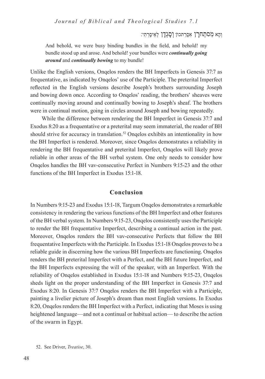וְהָא מִסתַחרָן אִסְרַתכוֹן וְסָגְדָן לְאֵיסָרְתִי:

And behold, we were busy binding bundles in the field, and behold! my bundle stood up and arose. And behold! your bundles were *continually going around* and *continually bowing* to my bundle!

Unlike the English versions, Onqelos renders the BH Imperfects in Genesis 37:7 as frequentative, as indicated by Onqelos' use of the Participle. The preterital Imperfect reflected in the English versions describe Joseph's brothers surrounding Joseph and bowing down once. According to Onqelos' reading, the brothers' sheaves were continually moving around and continually bowing to Joseph's sheaf. The brothers were in continual motion, going in circles around Joseph and bowing repeatedly.

While the difference between rendering the BH Imperfect in Genesis 37:7 and Exodus 8:20 as a frequentative or a preterital may seem immaterial, the reader of BH should strive for accuracy in translation.<sup>52</sup> Onqelos exhibits an intentionality in how the BH Imperfect is rendered. Moreover, since Onqelos demonstrates a reliability in rendering the BH frequentative and preterital Imperfect, Onqelos will likely prove reliable in other areas of the BH verbal system. One only needs to consider how Onqelos handles the BH vav-consecutive Perfect in Numbers 9:15-23 and the other functions of the BH Imperfect in Exodus 15:1-18.

# **Conclusion**

In Numbers 9:15-23 and Exodus 15:1-18, Targum Onqelos demonstrates a remarkable consistency in rendering the various functions of the BH Imperfect and other features of the BH verbal system. In Numbers 9:15-23, Onqelos consistently uses the Participle to render the BH frequentative Imperfect, describing a continual action in the past. Moreover, Onqelos renders the BH vav-consecutive Perfects that follow the BH frequentative Imperfects with the Participle. In Exodus 15:1-18 Onqelos proves to be a reliable guide in discerning how the various BH Imperfects are functioning. Onqelos renders the BH preterital Imperfect with a Perfect, and the BH future Imperfect, and the BH Imperfects expressing the will of the speaker, with an Imperfect. With the reliability of Onqelos established in Exodus 15:1-18 and Numbers 9:15-23, Onqelos sheds light on the proper understanding of the BH Imperfect in Genesis 37:7 and Exodus 8:20. In Genesis 37:7 Onqelos renders the BH Imperfect with a Participle, painting a livelier picture of Joseph's dream than most English versions. In Exodus 8:20, Onqelos renders the BH Imperfect with a Perfect, indicating that Moses is using heightened language—and not a continual or habitual action— to describe the action of the swarm in Egypt.

<sup>52</sup>. See Driver, *Treatise*, 30.